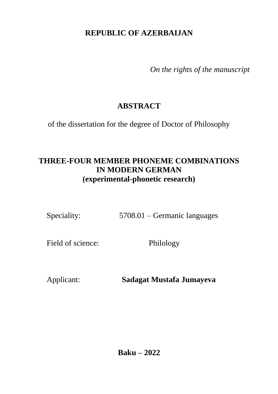# **REPUBLIC OF AZERBAIJAN**

*On the rights of the manuscript*

# **ABSTRACT**

of the dissertation for the degree of Doctor of Philosophy

# **THREE-FOUR MEMBER PHONEME COMBINATIONS IN MODERN GERMAN (experimental-phonetic research)**

Speciality: 5708.01 – Germanic languages

Field of science: Philology

Applicant: **Sadagat Mustafa Jumayeva**

**Baku – 2022**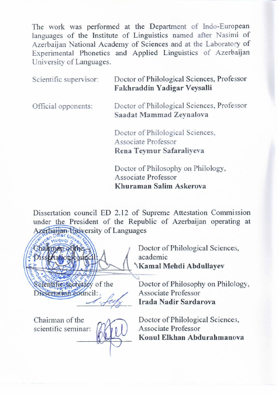The work was performed at the Department of Indo-European languages of the Institute of Linguistics named after Nasimi of Azerbaijan National Academy of Sciences and at the Laboratory of Experimental Phonetics and Applied Linguistics of Azerbaijan University of Languages.

| Scientific supervisor: | Doctor of Philological Sciences, Professor<br>Fakhraddin Yadigar Veysalli           |  |
|------------------------|-------------------------------------------------------------------------------------|--|
| Official opponents:    | Doctor of Philological Sciences, Professor<br>Saadat Mammad Zeynalova               |  |
|                        | Doctor of Philological Sciences,<br>Associate Professor<br>Rena Teymur Safaraliyeva |  |

**Doctor of Philosophy on Philology,** Associate Professor Khuraman Salim Askerova

Dissertation council ED 2.12 of Supreme Attestation Commission under the President of the Republic of Azerbaijan operating at Azerbaijan University of Languages

 $\left(\frac{1}{2}, \frac{1}{2}, \frac{1}{2}, \frac{1}{2}, \frac{1}{2}\right)$ Chairman of the the Best disserted that selentificsecretary of the acauchine<br>Vomal Mahdi Abdullavav and i Dissertation council: Dissertation council: Associates Professor

Chairman of the Constitution of the theory

scientific seminar:

 $\sim$ 

Doctor of Philosophy on Philology, Associate Professor<br>Irada Nadir Sardarova

**Doctor of Philological Sciences,** Associate Professor Konul Elkhan Abdurahmanova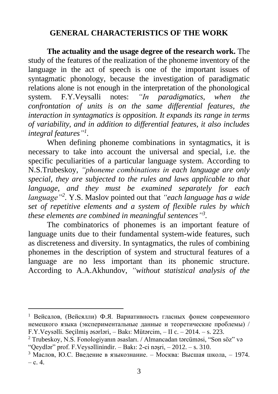## **GENERAL CHARACTERISTICS OF THE WORK**

**The actuality and the usage degree of the research work.** The study of the features of the realization of the phoneme inventory of the language in the act of speech is one of the important issues of syntagmatic phonology, because the investigation of paradigmatic relations alone is not enough in the interpretation of the phonological system. F.Y.Veysalli notes: *"In paradigmatics, when the confrontation of units is on the same differential features, the interaction in syntagmatics is opposition. It expands its range in terms of variability, and in addition to differential features, it also includes integral features" 1 .*

When defining phoneme combinations in syntagmatics, it is necessary to take into account the universal and special, i.e. the specific peculiarities of a particular language system. According to N.S.Trubeskoy, *"phoneme combinations in each language are only special, they are subjected to the rules and laws applicable to that language, and they must be examined separately for each language"<sup>2</sup> .* Y.S. Maslov pointed out that *"each language has a wide set of repetitive elements and a system of flexible rules by which these elements are combined in meaningful sentences" 3 .*

The combinatorics of phonemes is an important feature of language units due to their fundamental system-wide features, such as discreteness and diversity. In syntagmatics, the rules of combining phonemes in the description of system and structural features of a language are no less important than its phonemic structure. According to A.A.Akhundov, *"without statistical analysis of the* 

<sup>1</sup> Вейсалов, (Вейсялли) Ф.Я. Вариативность гласных фонем современного немецкого языка (экспериментальные данные и теоретические проблемы) / F.Y.Veysəlli. Seçilmiş əsərləri, – Bakı: Mütərcim, – II c. – 2014. – s. 223.

<sup>2</sup> Trubeskoy, N.S. Fonologiyanın əsasları. / Almancadan tərcüməsi, "Son söz" və "Qeydlər" prof. F.Veysəllinindir. – Bakı: 2-ci nəşri, – 2012. – s. 310.

<sup>&</sup>lt;sup>3</sup> Маслов, Ю.С. Введение в языкознание. – Москва: Высшая школа, – 1974. – с. 4.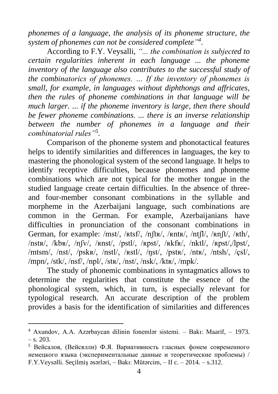*phonemes of a language, the analysis of its phoneme structure, the system of phonemes can not be considered complete" 4* .

According to F.Y. Veysalli, *"... the combination is subjected to certain regularities inherent in each language ... the phoneme inventory of the language also contributes to the successful study of the combinatorics of phonemes. … If the inventory of phonemes is small, for example, in languages without diphthongs and affricates, then the rules of phoneme combinations in that language will be much larger. ... if the phoneme inventory is large, then there should be fewer phoneme combinations. ... there is an inverse relationship between the number of phonemes in a language and their combinatorial rules"<sup>5</sup> .*

Comparison of the phoneme system and phonotactical features helps to identify similarities and differences in languages, the key to mastering the phonological system of the second language. It helps to identify receptive difficulties, because phonemes and phoneme combinations which are not typical for the mother tongue in the studied language create certain difficulties. In the absence of threeand four-member consonant combinations in the syllable and morpheme in the Azerbaijani language, such combinations are common in the German. For example, Azerbaijanians have difficulties in pronunciation of the consonant combinations in German, for example: /mst/, /ʀtsf/, /nʃtʀ/, /ʀntʀ/, /ntʃl/, /ʀnʃt/, /ʀth/, /nstʀ/, /kbʀ/, /nʃv/, /ʀnst/, /pstl/, /ʀpst/, /ʀkfʀ/, /nktl/, /ʀpst/,/lpst/, /mtsm/, /nst/, /pskʀ/, /nstl/, /ʀstl/, /ŋst/, /pstʀ/, /ntʀ/, /ntsh/, /çsl/, /mpn/, /stk/, /nsf/, /npl/, /stʀ/, /nst/, /nsk/, /ktʀ/, /mpk/.

The study of phonemic combinations in syntagmatics allows to determine the regularities that constitute the essence of the phonological system, which, in turn, is especially relevant for typological research. An accurate description of the problem provides a basis for the identification of similarities and differences

<sup>4</sup> Axundov, A.A. Azərbaycan dilinin fonemlər sistemi. – Bakı: Maarif, – 1973.  $-$  s. 203.

<sup>5</sup> Вейсалов, (Вейсялли) Ф.Я. Вариативность гласных фонем современного немецкого языка (экспериментальные данные и теоретические проблемы) / F.Y.Veysəlli. Seçilmiş əsərləri, – Bakı: Mütərcim, – II c. – 2014. – s.312.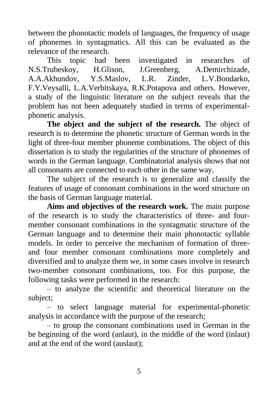between the phonotactic models of languages, the frequency of usage of phonemes in syntagmatics. All this can be evaluated as the relevance of the research.

This topic had been investigated in researches of N.S.Trubeskoy, H.Glison, J.Greenberg, A.Demirchizade, A.A.Akhundov, Y.S.Maslov, L.R. Zinder, L.V.Bondarko, F.Y.Veysalli, L.A.Verbitskaya, R.K.Potapova and others. However, a study of the linguistic literature on the subject reveals that the problem has not been adequately studied in terms of experimentalphonetic analysis.

**The object and the subject of the research.** The object of research is to determine the phonetic structure of German words in the light of three-four member phoneme combinations. The object of this dissertation is to study the regularities of the structure of phonemes of words in the German language. Combinatorial analysis shows that not all consonants are connected to each other in the same way.

The subject of the research is to generalize and classify the features of usage of consonant combinations in the word structure on the basis of German language material.

**Aims and objectives of the research work.** The main purpose of the research is to study the characteristics of three- and fourmember consonant combinations in the syntagmatic structure of the German language and to determine their main phonotactic syllable models. In order to perceive the mechanism of formation of threeand four member consonant combinations more completely and diversified and to analyze them we, in some cases involve in research two-member consonant combinations, too. For this purpose, the following tasks were performed in the research:

– to analyze the scientific and theoretical literature on the subject;

– to select language material for experimental-phonetic analysis in accordance with the purpose of the research;

– to group the consonant combinations used in German in the be beginning of the word (anlaut), in the middle of the word (inlaut) and at the end of the word (auslaut);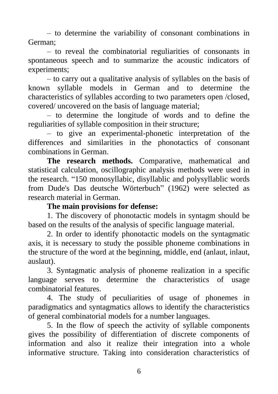– to determine the variability of consonant combinations in German;

– to reveal the combinatorial reguliarities of consonants in spontaneous speech and to summarize the acoustic indicators of experiments;

– to carry out a qualitative analysis of syllables on the basis of known syllable models in German and to determine the characteristics of syllables according to two parameters open /closed, covered/ uncovered on the basis of language material;

– to determine the longitude of words and to define the reguliarities of syllable composition in their structure;

– to give an experimental-phonetic interpretation of the differences and similarities in the phonotactics of consonant combinations in German.

**The research methods.** Comparative, mathematical and statistical calculation, oscillographic analysis methods were used in the research. "150 monosyllabic, disyllablic and polysyllablic words from Dude's Das deutsche Wörterbuch" (1962) were selected as research material in German.

#### **The main provisions for defense:**

1. The discovery of phonotactic models in syntagm should be based on the results of the analysis of specific language material.

2. In order to identify phonotactic models on the syntagmatic axis, it is necessary to study the possible phoneme combinations in the structure of the word at the beginning, middle, end (anlaut, inlaut, auslaut).

3. Syntagmatic analysis of phoneme realization in a specific language serves to determine the characteristics of usage combinatorial features.

4. The study of peculiarities of usage of phonemes in paradigmatics and syntagmatics allows to identify the characteristics of general combinatorial models for a number languages.

5. In the flow of speech the activity of syllable components gives the possibility of differentiation of discrete components of information and also it realize their integration into a whole informative structure. Taking into consideration characteristics of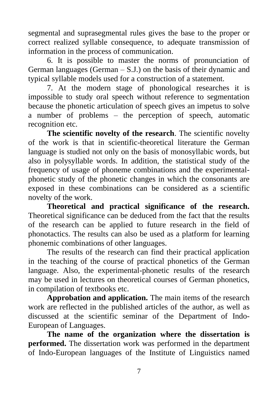segmental and suprasegmental rules gives the base to the proper or correct realized syllable consequence, to adequate transmission of information in the process of communication.

6. It is possible to master the norms of pronunciation of German languages (German – S.J.) on the basis of their dynamic and typical syllable models used for a construction of a statement.

7. At the modern stage of phonological researches it is impossible to study oral speech without reference to segmentation because the phonetic articulation of speech gives an impetus to solve a number of problems – the perception of speech, automatic recognition etc.

**The scientific novelty of the research**. The scientific novelty of the work is that in scientific-theoretical literature the German language is studied not only on the basis of monosyllabic words, but also in polysyllable words. In addition, the statistical study of the frequency of usage of phoneme combinations and the experimentalphonetic study of the phonetic changes in which the consonants are exposed in these combinations can be considered as a scientific novelty of the work.

**Theoretical and practical significance of the research.** Theoretical significance can be deduced from the fact that the results of the research can be applied to future research in the field of phonotactics. The results can also be used as a platform for learning phonemic combinations of other languages.

The results of the research can find their practical application in the teaching of the course of practical phonetics of the German language. Also, the experimental-phonetic results of the research may be used in lectures on theoretical courses of German phonetics, in compilation of textbooks etc.

**Approbation and application.** The main items of the research work are reflected in the published articles of the author, as well as discussed at the scientific seminar of the Department of Indo-European of Languages.

**The name of the organization where the dissertation is performed.** The dissertation work was performed in the department of Indo-European languages of the Institute of Linguistics named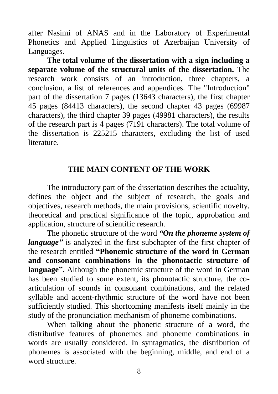after Nasimi of ANAS and in the Laboratory of Experimental Phonetics and Applied Linguistics of Azerbaijan University of Languages.

**The total volume of the dissertation with a sign including a separate volume of the structural units of the dissertation.** The research work consists of an introduction, three chapters, a conclusion, a list of references and appendices. The "Introduction" part of the dissertation 7 pages (13643 characters), the first chapter 45 pages (84413 characters), the second chapter 43 pages (69987 characters), the third chapter 39 pages (49981 characters), the results of the research part is 4 pages (7191 characters). The total volume of the dissertation is 225215 characters, excluding the list of used literature.

### **THE MAIN CONTENT OF THE WORK**

The introductory part of the dissertation describes the actuality, defines the object and the subject of research, the goals and objectives, research methods, the main provisions, scientific novelty, theoretical and practical significance of the topic, approbation and application, structure of scientific research.

The phonetic structure of the word *"On the phoneme system of language*" is analyzed in the first subchapter of the first chapter of the research entitled **"Phonemic structure of the word in German and consonant combinations in the phonotactic structure of language".** Although the phonemic structure of the word in German has been studied to some extent, its phonotactic structure, the coarticulation of sounds in consonant combinations, and the related syllable and accent-rhythmic structure of the word have not been sufficiently studied. This shortcoming manifests itself mainly in the study of the pronunciation mechanism of phoneme combinations.

When talking about the phonetic structure of a word, the distributive features of phonemes and phoneme combinations in words are usually considered. In syntagmatics, the distribution of phonemes is associated with the beginning, middle, and end of a word structure.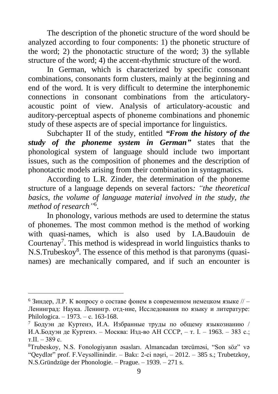The description of the phonetic structure of the word should be analyzed according to four components: 1) the phonetic structure of the word; 2) the phonotactic structure of the word; 3) the syllable structure of the word; 4) the accent-rhythmic structure of the word.

In German, which is characterized by specific consonant combinations, consonants form clusters, mainly at the beginning and end of the word. It is very difficult to determine the interphonemic connections in consonant combinations from the articulatoryacoustic point of view. Analysis of articulatory-acoustic and auditory-perceptual aspects of phoneme combinations and phonemic study of these aspects are of special importance for linguistics.

Subchapter II of the study, entitled *"From the history of the study of the phoneme system in German"* states that the phonological system of language should include two important issues, such as the composition of phonemes and the description of phonotactic models arising from their combination in syntagmatics.

According to L.R. Zinder, the determination of the phoneme structure of a language depends on several factors*: "the theoretical basics, the volume of language material involved in the study, the method of research"* 6 .

In phonology, various methods are used to determine the status of phonemes. The most common method is the method of working with quasi-names, which is also used by I.A.Baudouin de Courtenay<sup>7</sup>. This method is widespread in world linguistics thanks to N.S.Trubeskoy<sup>8</sup>. The essence of this method is that paronyms (quasinames) are mechanically compared, and if such an encounter is

 $6$  Зиндер. Л.Р. К вопросу о составе фонем в современном немецком языке  $//$  – Ленинград: Наука. Ленингр. отд-ние, Исследования по языку и литературе: Philologica. – 1973. – с. 163-168.

 $7$  Бодуэн де Куртенэ, И.А. Избранные труды по общему языкознанию / И.А.Бодуэн де Куртенэ. – Москва: Изд-во АН СССР, – т. I. – 1963. – 383 с.; т.II. – 389 с.

<sup>8</sup>Trubeskoy, N.S. Fonologiyanın əsasları. Almancadan tərcüməsi, "Son söz" və "Qeydlər" prof. F.Veysəllinindir. – Bakı: 2-ci nəşri, – 2012. – 385 s.; Trubetzkoy, N.S.Gründzüge der Phonologie. – Prague. – 1939. – 271 s.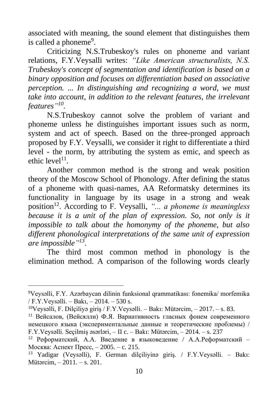associated with meaning, the sound element that distinguishes them is called a phoneme<sup>9</sup>.

Criticizing N.S.Trubeskoy's rules on phoneme and variant relations, F.Y.Veysalli writes: *"Like American structuralists, N.S. Trubeskoy's concept of segmentation and identification is based on a binary opposition and focuses on differentiation based on associative perception. ... In distinguishing and recognizing a word, we must take into account, in addition to the relevant features, the irrelevant features" 10 .*

N.S.Trubeskoy cannot solve the problem of variant and phoneme unless he distinguishes important issues such as norm, system and act of speech. Based on the three-pronged approach proposed by F.Y. Veysalli, we consider it right to differentiate a third level - the norm, by attributing the system as emic, and speech as ethic level<sup>11</sup>.

Another common method is the strong and weak position theory of the Moscow School of Phonology. After defining the status of a phoneme with quasi-names, AA Reformatsky determines its functionality in language by its usage in a strong and weak position<sup>12</sup>. According to F. Veysalli, *"... a phoneme is meaningless because it is a unit of the plan of expression. So, not only is it impossible to talk about the homonymy of the phoneme, but also different phonological interpretations of the same unit of expression are impossible" 13* .

The third most common method in phonology is the elimination method. A comparison of the following words clearly

<sup>9</sup>Veysəlli, F.Y. Azərbaycan dilinin funksional qrammatikası: fonemika/ morfemika / F.Y.Veysəlli. – Bakı, – 2014. – 530 s.

<sup>&</sup>lt;sup>10</sup>Veysəlli, F. Dilçiliyə giriş / F.Y.Veysəlli. – Bakı: Mütərcim,  $-2017$ . – s. 83.

<sup>&</sup>lt;sup>11</sup> Вейсалов, (Вейсялли) Ф.Я. Вариативность гласных фонем современного немецкого языка (экспериментальные данные и теоретические проблемы) / F.Y.Veysəlli. Seçilmiş əsərləri, – II c. – Bakı: Mütərcim, – 2014. – s. 237

<sup>&</sup>lt;sup>12</sup> Реформатский, А.А. Введение в языковедение / А.А.Реформатский – Москва: Аспект Пресс, – 2005. – c. 215.

<sup>13</sup> Yadigar (Veysəlli), F. German dilçiliyinə giriş. / F.Y.Veysəlli. – Bakı: Mütərcim, – 2011. – s. 201.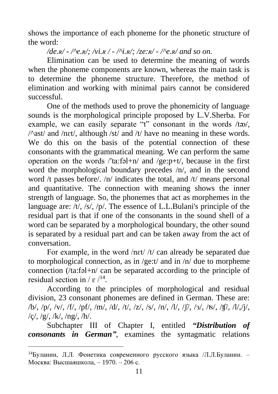shows the importance of each phoneme for the phonetic structure of the word:

### */de.ʀ/ - /^e.ʀ/; /vi.ʀ / - /^i.ʀ/; /ze:ʀ/ - /^e.ʀ/ and so on.*

Elimination can be used to determine the meaning of words when the phoneme components are known, whereas the main task is to determine the phoneme structure. Therefore, the method of elimination and working with minimal pairs cannot be considered successful.

One of the methods used to prove the phonemicity of language sounds is the morphological principle proposed by L.V.Sherba. For example, we can easily separate "t" consonant in the words  $/t\infty$ .  $\sqrt{\alpha}$ ast/ and /nɛt/, although /st/ and /t/ have no meaning in these words. We do this on the basis of the potential connection of these consonants with the grammatical meaning. We can perform the same operation on the words  $\pi/4a$ : falter and  $\pi/4e$ : periodic in the first word the morphological boundary precedes /n/, and in the second word /t passes before/. /n/ indicates the total, and /t/ means personal and quantitative. The connection with meaning shows the inner strength of language. So, the phonemes that act as morphemes in the language are: /t/, /s/, /p/. The essence of L.L.Bulani's principle of the residual part is that if one of the consonants in the sound shell of a word can be separated by a morphological boundary, the other sound is separated by a residual part and can be taken away from the act of conversation.

For example, in the word /nɛt/ /t/ can already be separated due to morphological connection, as in /ge:t/ and in /n/ due to morpheme connection (/ta:fəl+n/ can be separated according to the principle of residual section in /  $\varepsilon$  /<sup>14</sup>.

According to the principles of morphological and residual division, 23 consonant phonemes are defined in German. These are: /b/, /p/, /v/, /f/, /pf/, /m/, /d/, /t/, /z/, /s/, /n/, /l/, /ʃ/, /ɜ/, /ʦ/, /ʧ/, /l/,/j/,  $/c/$ ,  $/g/$ ,  $/k/$ ,  $/ng/$ ,  $/h/$ .

Subchapter III of Chapter I, entitled *"Distribution of consonants in German"*, examines the syntagmatic relations

<sup>14</sup>Буланин, Л.Л. Фонетика современного русского языка /Л.Л.Буланин. – Москва: Высшаяшкола, – 1970. – 206 с.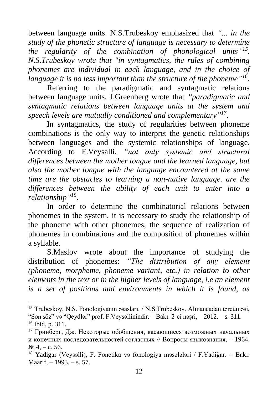between language units. N.S.Trubeskoy emphasized that *"... in the study of the phonetic structure of language is necessary to determine the regularity of the combination of phonological units" 15 . N.S.Trubeskoy wrote that "in syntagmatics, the rules of combining phonemes are individual in each language, and in the choice of language it is no less important than the structure of the phoneme" 16 .*

Referring to the paradigmatic and syntagmatic relations between language units, J.Greenberg wrote that *"paradigmatic and syntagmatic relations between language units at the system and speech levels are mutually conditioned and complementary" 17* .

In syntagmatics, the study of regularities between phoneme combinations is the only way to interpret the genetic relationships between languages and the systemic relationships of language. According to F.Veysalli, *"not only systemic and structural differences between the mother tongue and the learned language, but also the mother tongue with the language encountered at the same time are the obstacles to learning a non-native language. are the differences between the ability of each unit to enter into a relationship" 18* .

In order to determine the combinatorial relations between phonemes in the system, it is necessary to study the relationship of the phoneme with other phonemes, the sequence of realization of phonemes in combinations and the composition of phonemes within a syllable.

S.Maslov wrote about the importance of studying the distribution of phonemes: *"The distribution of any element (phoneme, morpheme, phoneme variant, etc.) in relation to other elements in the text or in the higher levels of language, i.e an element is a set of positions and environments in which it is found, as* 

<sup>15</sup> Trubeskoy, N.S. Fonologiyanın əsasları. / N.S.Trubeskoy. Almancadan tərcüməsi, "Son söz" və "Qeydlər" prof. F.Veysəllinindir. – Bakı: 2-ci nəşri, – 2012. – s. 311. <sup>16</sup> Ibid, p. 311.

<sup>17</sup> Гринберг, Дж. Некоторые обобщения, касающиеся возможных начальных и конечных последовательностей согласных // Вопросы языкознания, – 1964.  $\mathcal{N}$ <sup>o</sup> 4, – c. 56.

<sup>18</sup> Yadigar (Veysəlli), F. Fonetika və fonologiya məsələləri / F.Yadiğar. – Bakı: Maarif, – 1993. – s. 57.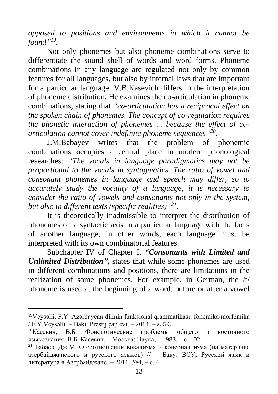*opposed to positions and environments in which it cannot be found" 19 .*

Not only phonemes but also phoneme combinations serve to differentiate the sound shell of words and word forms. Phoneme combinations in any language are regulated not only by common features for all languages, but also by internal laws that are important for a particular language. V.B.Kasevich differs in the interpretation of phoneme distribution. He examines the co-articulation in phoneme combinations, stating that *"co-articulation has a reciprocal effect on the spoken chain of phonemes. The concept of co-regulation requires the phonetic interaction of phonemes ... because the effect of coarticulation cannot cover indefinite phoneme sequences" 20* .

J.M.Babayev writes that the problem of phonemic combinations occupies a central place in modern phonological researches: *"The vocals in language paradigmatics may not be proportional to the vocals in syntagmatics. The ratio of vowel and consonant phonemes in language and speech may differ, so to accurately study the vocality of a language, it is necessary to consider the ratio of vowels and consonants not only in the system, but also in different texts (specific realities)" 21* .

It is theoretically inadmissible to interpret the distribution of phonemes on a syntactic axis in a particular language with the facts of another language, in other words, each language must be interpreted with its own combinatorial features.

Subchapter IV of Chapter I, *"Consonants with Limited and Unlimited Distribution",* states that while some phonemes are used in different combinations and positions, there are limitations in the realization of some phonemes. For example, in German, the /t/ phoneme is used at the beginning of a word, before or after a vowel

<sup>19</sup>Veysəlli, F.Y. Azərbaycan dilinin funksional qrammatikası: fonemika/morfemika / F.Y.Veysəlli. – Bakı: Prestij çap evi, – 2014. – s. 59.

<sup>20</sup>Касевич, В.Б. Фонологические проблемы общего и восточного языкознания. В.Б. Касевич. – Москва: Наука, – 1983. – с. 102.

 $21$  Бабаев, Дж.М. О соотношении вокализма и консонантизма (на материале азербайджанского и русского языков) // – Баку: ВСУ, Русский язык и литература в Азербайджане. – 2011. №4, – с. 4.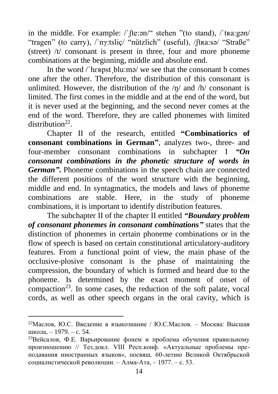in the middle. For example: /`ʃte:ən/" stehen "(to stand), /`tʀa:gən/ "tragen" (to carry), /`nγ:tsliç/ "nützlich" (useful), /ʃtʀa:sə/ "Straße" (street) /t/ consonant is present in three, four and more phoneme combinations at the beginning, middle and absolute end.

In the word / here the blu:mə/ we see that the consonant b comes one after the other. Therefore, the distribution of this consonant is unlimited. However, the distribution of the  $/n/$  and  $/h/$  consonant is limited. The first comes in the middle and at the end of the word, but it is never used at the beginning, and the second never comes at the end of the word. Therefore, they are called phonemes with limited distribution<sup>22</sup>.

Chapter II of the research, entitled **"Combinatiorics of consonant combinations in German"***,* analyzes two-, three- and four-member consonant combinations in subchapter I *"On consonant combinations in the phonetic structure of words in German"***.** Phoneme combinations in the speech chain are connected the different positions of the word structure with the beginning, middle and end. In syntagmatics, the models and laws of phoneme combinations are stable. Here, in the study of phoneme combinations, it is important to identify distribution features.

The subchapter II of the chapter II entitled *"Boundary problem of consonant phonemes in consonant combinations"* states that the distinction of phonemes in certain phoneme combinations or in the flow of speech is based on certain constitutional articulatory-auditory features. From a functional point of view, the main phase of the occlusive-plosive consonant is the phase of maintaining the compression, the boundary of which is formed and heard due to the phoneme. Is determined by the exact moment of onset of compaction<sup>23</sup>. In some cases, the reduction of the soft palate, vocal cords, as well as other speech organs in the oral cavity, which is

<sup>&</sup>lt;sup>22</sup>Маслов, Ю.С. Введение в языкознание / Ю.С.Маслов. – Москва: Высшая школа, – 1979. – c. 54.

<sup>&</sup>lt;sup>23</sup>Вейсалов, Ф.Е. Варьирование фонем и проблема обучения правильному произношению // Тез.докл. VIII Респ.конф. «Актуальные проблемы преподaвания иностранных языков», посвящ. 60-летию Великой Октябрьской социалистической революции. – Алма-Ата, – 1977. – с. 53.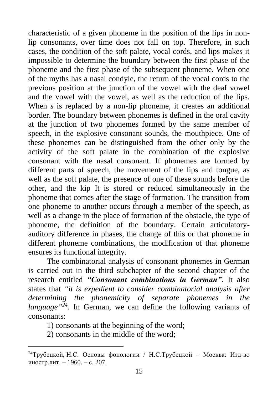characteristic of a given phoneme in the position of the lips in nonlip consonants, over time does not fall on top. Therefore, in such cases, the condition of the soft palate, vocal cords, and lips makes it impossible to determine the boundary between the first phase of the phoneme and the first phase of the subsequent phoneme. When one of the myths has a nasal condyle, the return of the vocal cords to the previous position at the junction of the vowel with the deaf vowel and the vowel with the vowel, as well as the reduction of the lips. When *s* is replaced by a non-lip phoneme, it creates an additional border. The boundary between phonemes is defined in the oral cavity at the junction of two phonemes formed by the same member of speech, in the explosive consonant sounds, the mouthpiece. One of these phonemes can be distinguished from the other only by the activity of the soft palate in the combination of the explosive consonant with the nasal consonant. If phonemes are formed by different parts of speech, the movement of the lips and tongue, as well as the soft palate, the presence of one of these sounds before the other, and the kip It is stored or reduced simultaneously in the phoneme that comes after the stage of formation. The transition from one phoneme to another occurs through a member of the speech, as well as a change in the place of formation of the obstacle, the type of phoneme, the definition of the boundary. Certain articulatoryauditory difference in phases, the change of this or that phoneme in different phoneme combinations, the modification of that phoneme ensures its functional integrity.

The combinatorial analysis of consonant phonemes in German is carried out in the third subchapter of the second chapter of the research entitled *"Consonant combinations in German"*. It also states that *"it is expedient to consider combinatorial analysis after determining the phonemicity of separate phonemes in the*  language<sup>"24</sup>. In German, we can define the following variants of consonants:

1) consonants at the beginning of the word;

2) consonants in the middle of the word;

<sup>24</sup>Трубецкой, Н.С. Основы фонологии / Н.С.Трубецкой – Москва: Изд-во иностр.лит. – 1960. – с. 207.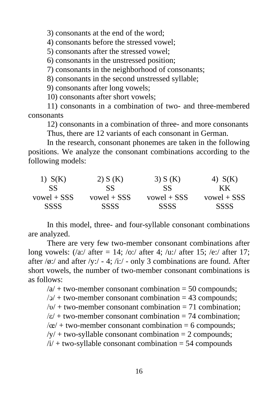3) consonants at the end of the word;

4) consonants before the stressed vowel;

5) consonants after the stressed vowel;

6) consonants in the unstressed position;

7) consonants in the neighborhood of consonants;

8) consonants in the second unstressed syllable;

9) consonants after long vowels;

10) consonants after short vowels;

11) consonants in a combination of two- and three-membered consonants

12) consonants in a combination of three- and more consonants Thus, there are 12 variants of each consonant in German.

In the research, consonant phonemes are taken in the following positions. We analyze the consonant combinations according to the following models:

| $1)$ S(K)   | 2) S(K)       | 3) $S(K)$     | 4) $S(K)$     |
|-------------|---------------|---------------|---------------|
| SS          | SS.           | SS            | KК            |
| vowel + SSS | $vowel + SSS$ | $vowel + SSS$ | $vowel + SSS$ |
| <b>SSSS</b> | SSSS          | <b>SSSS</b>   | <b>SSSS</b>   |

In this model, three- and four-syllable consonant combinations are analyzed.

There are very few two-member consonant combinations after long vowels:  $\frac{1}{2}$ :  $\frac{1}{2}$ ;  $\frac{1}{2}$ ;  $\frac{1}{2}$ ;  $\frac{1}{2}$ ;  $\frac{1}{2}$ ;  $\frac{1}{2}$ ;  $\frac{1}{2}$ ;  $\frac{1}{2}$ ;  $\frac{1}{2}$ ;  $\frac{1}{2}$ ;  $\frac{1}{2}$ ;  $\frac{1}{2}$ ;  $\frac{1}{2}$ ;  $\frac{1}{2}$ ;  $\frac{1}{2}$ ;  $\frac{1}{2}$ ;  $\frac{1}{2}$ ;  $\frac{1}{2}$ ; after  $\sqrt{\phi}$ :/ and after  $\sqrt{\psi}$ :/ - 4; /i:/ - only 3 combinations are found. After short vowels, the number of two-member consonant combinations is as follows:

 $\alpha$  + two-member consonant combination = 50 compounds;  $\sqrt{2}$  + two-member consonant combination = 43 compounds:

 $/v$  + two-member consonant combination = 71 combination:

 $\sqrt{\epsilon}/\pm$  two-member consonant combination = 74 combination;

 $\alpha$  + two-member consonant combination = 6 compounds;

 $/y/$  + two-syllable consonant combination = 2 compounds;

 $/i$  + two-syllable consonant combination = 54 compounds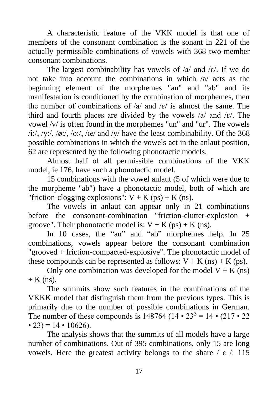A characteristic feature of the VKK model is that one of members of the consonant combination is the sonant in 221 of the actually permissible combinations of vowels with 368 two-member consonant combinations.

The largest combinability has vowels of  $\alpha$  and  $\epsilon$ . If we do not take into account the combinations in which /a/ acts as the beginning element of the morphemes "an" and "ab" and its manifestation is conditioned by the combination of morphemes, then the number of combinations of  $\alpha$  and  $\epsilon$  is almost the same. The third and fourth places are divided by the vowels  $\alpha$  and  $\epsilon$ . The vowel /v/ is often found in the morphemes "un" and "ur". The vowels  $\frac{\partial f}{\partial x}$ ,  $\frac{\partial f}{\partial y}$ ,  $\frac{\partial f}{\partial z}$ ,  $\frac{\partial f}{\partial x}$  and  $\frac{\partial f}{\partial y}$  have the least combinability. Of the 368 possible combinations in which the vowels act in the anlaut position, 62 are represented by the following phonotactic models.

Almost half of all permissible combinations of the VKK model, ie 176, have such a phonotactic model.

15 combinations with the vowel anlaut (5 of which were due to the morpheme "ab") have a phonotactic model, both of which are "friction-clogging explosions":  $V + K$  (ps) + K (ns).

The vowels in anlaut can appear only in 21 combinations before the consonant-combination "friction-clutter-explosion + groove". Their phonotactic model is:  $V + K$  (ps) + K (ns).

In 10 cases, the "an" and "ab" morphemes help. In 25 combinations, vowels appear before the consonant combination "grooved + friction-compacted-explosive". The phonotactic model of these compounds can be represented as follows:  $V + K$  (ns) + K (ps).

Only one combination was developed for the model  $V + K$  (ns)  $+$  K (ns).

The summits show such features in the combinations of the VKKK model that distinguish them from the previous types. This is primarily due to the number of possible combinations in German. The number of these compounds is 148764 (14 • 23<sup>3</sup> = 14 • (217 • 22) • 23) = 14 • 10626).

The analysis shows that the summits of all models have a large number of combinations. Out of 395 combinations, only 15 are long vowels. Here the greatest activity belongs to the share  $\ell \in \ell$ : 115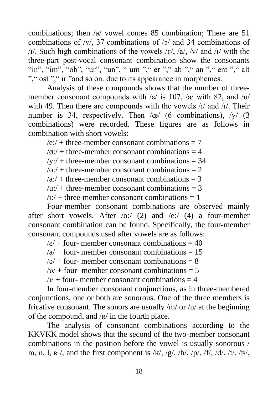combinations; then /a/ vowel comes 85 combination; There are 51 combinations of /v/, 37 combinations of /ɔ/ and 34 combinations of  $/1$ . Such high combinations of the vowels  $/ε$ ,  $/α$ ,  $/ν$  and  $/1/$  with the three-part post-vocal consonant combination show the consonants "in", "im", "ob", "ur", "un", " um "," er "," ab "," an "," ent "," alt "," ost "," ir "and so on. due to its appearance in morphemes.

Analysis of these compounds shows that the number of threemember consonant compounds with /ε/ is 107, /a/ with 82, and /υ/ with 49. Then there are compounds with the vowels  $\lambda$  and  $\lambda$ . Their number is 34, respectively. Then  $\alpha$  (6 combinations),  $\alpha$  (3 combinations) were recorded. These figures are as follows in combination with short vowels:

 $/e$ <sup> $\cdot$ </sup> + three-member consonant combinations = 7

- $\sqrt{\phi}$ :/ + three-member consonant combinations = 4
- $/y$ :/ + three-member consonant combinations = 34

 $\sqrt{\omega}$ : + three-member consonant combinations = 2

 $a:/-$  three-member consonant combinations = 3

 $/u$ :/ + three-member consonant combinations = 3

 $\lambda$ i:/ + three-member consonant combinations = 1

Four-member consonant combinations are observed mainly after short vowels. After  $\langle$ o: $\rangle$  (2) and  $\langle$ e: $\rangle$  (4) a four-member consonant combination can be found. Specifically, the four-member consonant compounds used after vowels are as follows:

 $\sqrt{\epsilon}/+$  four- member consonant combinations = 40

 $/a$  + four- member consonant combinations = 15

 $/2/$  + four- member consonant combinations = 8

 $/v/$  + four- member consonant combinations = 5

 $/1/$  + four- member consonant combinations = 4

In four-member consonant conjunctions, as in three-membered conjunctions, one or both are sonorous. One of the three members is fricative consonant. The sonors are usually  $/m/$  or  $/n/$  at the beginning of the compound, and /ʀ/ in the fourth place.

The analysis of consonant combinations according to the KKVKK model shows that the second of the two-member consonant combinations in the position before the vowel is usually sonorous / m, n, l,  $R$  /, and the first component is /k/, /g/, /b/, /p/, /f/, /d/, /t/, /ts/,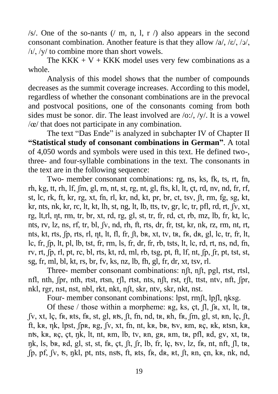/s/. One of the so-nants (/ m, n, l, r /) also appears in the second consonant combination. Another feature is that they allow /a/, /ε/, /ͻ/, /ı/, /y/ to combine more than short vowels.

The KKK + V + KKK model uses very few combinations as a whole.

Analysis of this model shows that the number of compounds decreases as the summit coverage increases. According to this model, regardless of whether the consonant combinations are in the prevocal and postvocal positions, one of the consonants coming from both sides must be sonor. dir. The least involved are /o:/, /y/. It is a vowel /œ/ that does not participate in any combination.

The text "Das Ende" is analyzed in subchapter IV of Chapter II **"Statistical study of consonant combinations in German"**. A total of 4,050 words and symbols were used in this text. He defined two-, three- and four-syllable combinations in the text. The consonants in the text are in the following sequence:

Two- member consonant combinations: rg, ns, ks, fk, ts, rt, fn, rh, kg, tt, rh, lf, ʃm, gl, rn, nt, st, rg, nt, gl, fts, kl, lt, çt, rd, nv, nd, fr, rf, st, lc, rk, ft, kr, rg, xt, fn, rl, kr, nd, kt, pr, br, ct, tsv, ʃt, rm, fg, sg, kt, kr, nts, nk, kr, rc, lt, kt, lh, st, ng, lt, lb, tts, tv, gr, lc, tr, pfl, rd, rt, ʃv, xt, rg, lt, rl, nt, rm, tr, br, xt, rd, rg, gl, st, tr, fr, rd, ct, rb, mz, lb, fr, kt, lc, nts, rv, lz, ns, rf, tr, bl, ʃv, nd, rh, ft, rts, dr, fr, tst, kr, nk, rz, rm, nt, rt, nts, kt, rts,  $[p, rts, r], \eta t$ , lt, fl, fr,  $[t, br, xt, tv, tr, fr, dr, gl, lc, tr, fr, lt,$ lc, fr, ʃp, lt, pl, lb, tst, fr, rm, ls, fr, dr, fr, rb, tsts, lt, lc, rd, rt, ns, nd, fn, rv, rt, ʃp, rl, pt, rc, bl, rts, kt, rd, ml, rb, tsg, pt, ft, lf, nt, ʃp, ʃr, pt, tst, st, sg, fr, ml, bl, kt, rs, br, fv, ks, nz, lb, fh, gl, fr, dr, xt, tsv, rl.

Three- member consonant combinations: nʃt, nʃt, pgl, rtst, rtsl, nfl, nth, ʃpr, nth, rtst, rtsn, rʃl, rtst, nts, nʃt, rst, rʃt, ttst, ntv, nft, ʃpr, nkl, rgr, nst, nst, nbl, rkt, nkt, n<sub>ft, skr</sub>, ntv, skr, nkt, nst.

Four- member consonant combinations: lpst, rmft, lpfl, nksg.

Of these / those within a morpheme:  $\text{rg}, \text{ks}, \text{ct}, \text{fl}, \text{fs}, \text{xt}, \text{lt}, \text{tr}, \text{tr}$ ʃv, xt, lç, fʀ, ʀts, fʀ, st, gl, ʀʦ, ʃt, fn, nd, tʀ, ʀh, fʀ, ʃm, gl, st, ʀn, lç, ʃt, ft, kʀ, ηk, lpst, ʃpʀ, ʀg, ʃv, xt, fn, nt, kʀ, bʀ, ʦv, ʀm, ʀç, ʀk, ʀtsn, kʀ, nʦ, kʀ, ʀç, çt, ŋk, lt, nt, ʀm, lb, tv, ʀn, gʀ, ʀm, tʀ, pfl, ʀd, gv, xt, tʀ, ŋk, ls, bʀ, ʀd, gl, st, st, fʀ, çt, ʃt, ʃr, lb, fr, lç, ʦv, lz, fʀ, nt, nft, ʃl, tʀ, ʃp, pf, ʃv, ʦ, ŋkl, pt, nts, nsʦ, ft, ʀts, fʀ, dʀ, ʀt, ʃt, ʀn, çn, kʀ, nk, nd,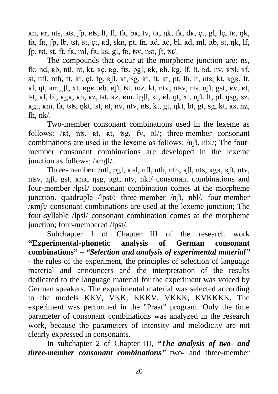ʀn, ʀr, nts, ʀʦ, ʃp, ʀʦ, lt, fl, fʀ, bʀ, tv, tʀ, ŋk, fʀ, dʀ, çt, gl, lç, tʀ, ŋk, fr, fr,  $[p, lb, st, st, ct, rd, skr, pt, fn, rd, rc, bl, rd, ml, rb, st, nk, lf, s, d, m]$ ʃp, ʦt, st, ft, fʀ, ml, fʀ, ks, gl, fʀ, ʦv, nst, ʃt, ʦt/.

The compounds that occur at the morpheme junction are: ns, fk, nd,  $R$ b, ntl, nt, kt,  $R$ c,  $R$ g, fts, pgl,  $R$ k,  $R$ h,  $R$ g, lf,  $R$ ,  $R$ d, nv,  $R$ tsl,  $R$ f, st, nfl, nth, ft, kt, ct, fg,  $R[\mathbf{l}, \mathbf{R}t, \mathbf{S}g, \mathbf{k}t, \mathbf{t}, \mathbf{t}, \mathbf{t}]$ , lt, hts, kt,  $RgR$ , lt, ʀl, ŋt, ʀm, ʃt, xt, ʀgʀ, ʀb, ʀʃt, ʦt, mz, kt, ntv, nʦv, nʦ, nʃt, gst, ʀv, ʀt, ʦt, ʀf, bl, ʀgʀ, ʀh, ʀz, ʦt, ʀz, ʀm, lpʃl, kt, ʀl, ŋt, xt, nʃt, lt, pl, ŋsg, sz, ʀgt, ʀm, fʀ, ʦʦ, ŋkt, ʦt, ʀt, ʀv, ntv, ʀʦ, kt, gt, ŋkt, bt, gt, sg, kt, ʀs, nz, fh, nk/.

Two-member consonant combinations used in the lexeme as follows: /kt, nts, kt, kt, tsg, fv, kt/; three-member consonant combinations are used in the lexeme as follows: /nʃt, nbl/; The fourmember consonant combinations are developed in the lexeme junction as follows: / $Rmft/$ .

Three-member: /ntl, pgl,  $RbI$ , nfl, nth, nth,  $R/I$ , nts,  $RgR$ ,  $Rft$ , ntv, nʦv, nʃt, gst, ʀŋʀ, ŋsg, ʀgt, ntv, ŋkt/ consonant combinations and four-member /lpsl/ consonant combination comes at the morpheme junction. quadruple /lpst/; three-member /nʃt, nbl/, four-member /ʀmʃt/ consonant combinations are used at the lexeme junction; The four-syllable /lpsl/ consonant combination comes at the morpheme junction; four-membered /lpst/.

Subchapter I of Chapter III of the research work **"Experimental-phonetic analysis of German consonant combinations" –** *"Selection and analysis of experimental material"* - the rules of the experiment, the principles of selection of language material and announcers and the interpretation of the results dedicated to the language material for the experiment was voiced by German speakers. The experimental material was selected according to the models KKV, VKK, KKKV, VKKK, KVKKKK. The experiment was performed in the "Praat" program. Only the time parameter of consonant combinations was analyzed in the research work, because the parameters of intensity and melodicity are not clearly expressed in consonants.

In subchapter 2 of Chapter III, *"The analysis of two- and three-member consonant combinations"* two- and three-member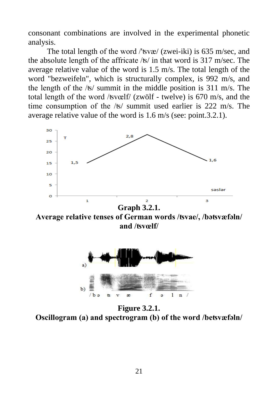consonant combinations are involved in the experimental phonetic analysis.

The total length of the word /'ʦvæ/ (zwei-iki) is 635 m/sec, and the absolute length of the affricate /ʦ/ in that word is 317 m/sec. The average relative value of the word is 1.5 m/s. The total length of the word "bezweifeln", which is structurally complex, is 992 m/s, and the length of the /ʦ/ summit in the middle position is 311 m/s. The total length of the word /ʦvœlf/ (zwölf - twelve) is 670 m/s, and the time consumption of the /ʦ/ summit used earlier is 222 m/s. The average relative value of the word is 1.6 m/s (see: point.3.2.1).



**Graph 3.2.1. Average relative tenses of German words /ʦvae/, /bəʦvæfəln/ and /ʦvœlf/**



**Figure 3.2.1. Oscillogram (a) and spectrogram (b) of the word /beʦvæfəln/**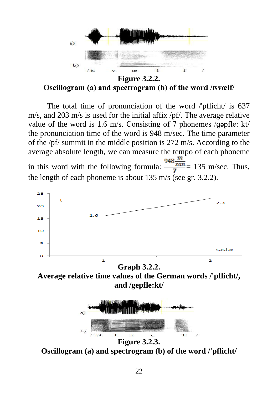

**Oscillogram (a) and spectrogram (b) of the word /ʦvœlf/**

The total time of pronunciation of the word /'pflicht/ is 637 m/s, and 203 m/s is used for the initial affix /pf/. The average relative value of the word is 1.6 m/s. Consisting of 7 phonemes /ɡəpfle: kt/ the pronunciation time of the word is 948 m/sec. The time parameter of the /pf/ summit in the middle position is 272 m/s. According to the average absolute length, we can measure the tempo of each phoneme m in this word with the following formula:  $\frac{340 \text{ }\text{s}}{7} = 135 \text{ m/sec}$ . Thus, the length of each phoneme is about 135 m/s (see gr. 3.2.2).



**Figure 3.2.3. Oscillogram (a) and spectrogram (b) of the word /'pflicht/**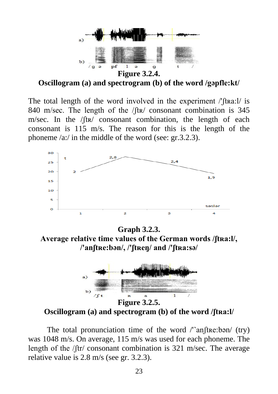

**Oscillogram (a) and spectrogram (b) of the word /gəpfle:kt/**

The total length of the word involved in the experiment /'ftra:l/ is 840 m/sec. The length of the /ft<sub>R</sub>/ consonant combination is 345 m/sec. In the /ʃtʀ/ consonant combination, the length of each consonant is 115 m/s. The reason for this is the length of the phoneme /a:/ in the middle of the word (see: gr.3.2.3).



**Graph 3.2.3. Average relative time values of the German words /ʃtʀa:l/, /'anʃtʀe:bən/, /'ʃtʀeŋ/ and /'ʃtʀa:sə/**



**Oscillogram (a) and spectrogram (b) of the word /ʃtʀa:l/**

The total pronunciation time of the word /'anftre:bən/ (try) was 1048 m/s. On average, 115 m/s was used for each phoneme. The length of the /ftr/ consonant combination is 321 m/sec. The average relative value is 2.8 m/s (see gr. 3.2.3).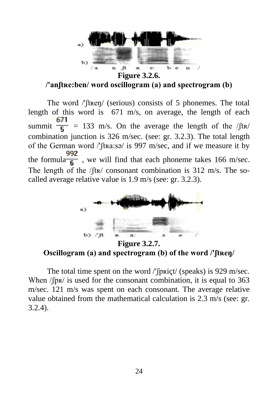

**/'anʃtʀe:ben/ word oscillogram (a) and spectrogram (b)**

The word /'ʃtʀeŋ/ (serious) consists of 5 phonemes. The total length of this word is 671 m/s, on average, the length of each summit  $\frac{671}{5}$  = 133 m/s. On the average the length of the /ftx/ combination junction is 326 m/sec. (see: gr. 3.2.3). The total length of the German word /'ʃtʀa:sə/ is 997 m/sec, and if we measure it by the formula  $\frac{1}{\sqrt{6}}$ , we will find that each phoneme takes 166 m/sec. The length of the /ft $x$ / consonant combination is 312 m/s. The socalled average relative value is 1.9 m/s (see: gr. 3.2.3).



**Figure 3.2.7. Oscillogram (a) and spectrogram (b) of the word /'ʃtʀeŋ/**

The total time spent on the word /'ʃpʀiçt/ (speaks) is 929 m/sec. When / $(pR)$  is used for the consonant combination, it is equal to 363 m/sec. 121 m/s was spent on each consonant. The average relative value obtained from the mathematical calculation is 2.3 m/s (see: gr. 3.2.4).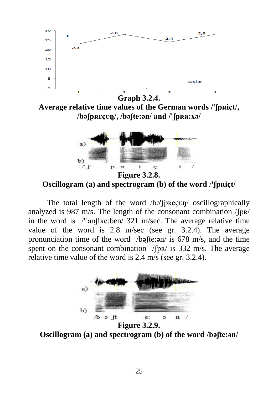

**Figure 3.2.8. Oscillogram (a) and spectrogram (b) of the word** /**'ʃpʀiçt/**

The total length of the word /bə'fprecon/ oscillographically analyzed is 987 m/s. The length of the consonant combination /ʃpʀ/ in the word is /'˺anʃtʀe:ben/ 321 m/sec. The average relative time value of the word is 2.8 m/sec (see gr. 3.2.4). The average pronunciation time of the word /bəʃte:ən/ is 678 m/s, and the time spent on the consonant combination  $/$ [p $\frac{R}{a}$  is 332 m/s. The average relative time value of the word is 2.4 m/s (see gr. 3.2.4).



**Figure 3.2.9. Oscillogram (a) and spectrogram (b) of the word /bəʃte:ən/**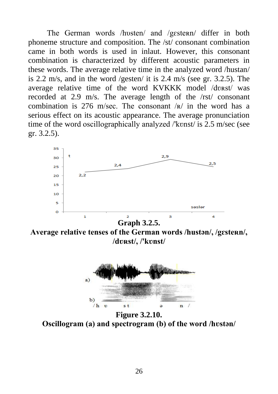The German words /husten/ and /gestern/ differ in both phoneme structure and composition. The /st/ consonant combination came in both words is used in inlaut. However, this consonant combination is characterized by different acoustic parameters in these words. The average relative time in the analyzed word /hustan/ is 2.2 m/s, and in the word /gesten/ it is 2.4 m/s (see gr. 3.2.5). The average relative time of the word KVKKK model /dvRst/ was recorded at 2.9 m/s. The average length of the /rst/ consonant combination is 276 m/sec. The consonant  $\sqrt{R}$  in the word has a serious effect on its acoustic appearance. The average pronunciation time of the word oscillographically analyzed /'konst/ is 2.5 m/sec (see gr. 3.2.5).



**Graph 3.2.5.**

**Average relative tenses of the German words /hustən/, /gɛsteʀn/, /dʋʀst/, /'kʋnst/**



**Figure 3.2.10. Oscillogram (a) and spectrogram (b) of the word /hʋstən/**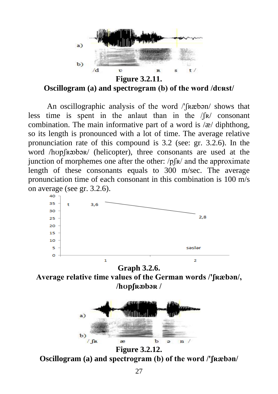

**Oscillogram (a) and spectrogram (b) of the word /dʋʀst/**

An oscillographic analysis of the word /'ʃʀæbən/ shows that less time is spent in the anlaut than in the /ʃʀ/ consonant combination. The main informative part of a word is  $\alpha$  diphthong, so its length is pronounced with a lot of time. The average relative pronunciation rate of this compound is 3.2 (see: gr. 3.2.6). In the word /hʊpʃʀæbəʀ/ (helicopter), three consonants are used at the junction of morphemes one after the other:  $/pfR/$  and the approximate length of these consonants equals to 300 m/sec. The average pronunciation time of each consonant in this combination is 100 m/s on average (see gr. 3.2.6).



**Graph 3.2.6. Average relative time values of the German words /'ʃʀæbən/, /hʊpʃʀᴔbəʀ /**



**Figure 3.2.12.**

**Oscillogram (a) and spectrogram (b) of the word /'ʃʀæbən/**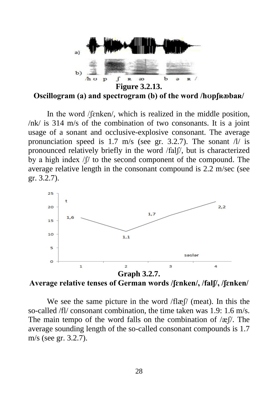

**Oscillogram (a) and spectrogram (b) of the word /hopf rabak/** 

In the word /fenken/, which is realized in the middle position, /nk/ is 314 m/s of the combination of two consonants. It is a joint usage of a sonant and occlusive-explosive consonant. The average pronunciation speed is 1.7 m/s (see gr. 3.2.7). The sonant  $\frac{1}{i}$  is pronounced relatively briefly in the word /falʃ/, but is characterized by a high index /ʃ/ to the second component of the compound. The average relative length in the consonant compound is 2.2 m/sec (see gr. 3.2.7).



**Average relative tenses of German words /ʃɛnken/, /falʃ/, /ʃɛnken/**

We see the same picture in the word  $f\mathbb{E}$  (meat). In this the so-called /fl/ consonant combination, the time taken was 1.9: 1.6 m/s. The main tempo of the word falls on the combination of  $\alpha$  / $\alpha$  /. The average sounding length of the so-called consonant compounds is 1.7 m/s (see gr. 3.2.7).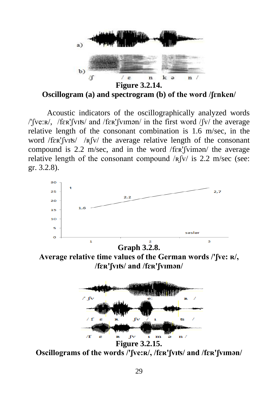

**Oscillogram (a) and spectrogram (b) of the word /ʃɛnken/**

Acoustic indicators of the oscillographically analyzed words /'ʃve:ʀ/, /fɛʀ'ʃvıʦ/ and /fɛʀ'ʃvımən/ in the first word /ʃv/ the average relative length of the consonant combination is 1.6 m/sec, in the word /fɛʀ'ʃvɪts/ /Rʃv/ the average relative length of the consonant compound is 2.2 m/sec, and in the word /fɛʀ'ʃvimən/ the average relative length of the consonant compound  $\sqrt{R/V}$  is 2.2 m/sec (see: gr. 3.2.8).



**Average relative time values of the German words /'ʃve: ʀ/, /fɛʀ'ʃvıʦ/ and /fɛʀ'ʃvımən/**



**Oscillograms of the words /'ʃve:ʀ/, /fɛʀ'ʃvıʦ/ and /fɛʀ'ʃvımən/**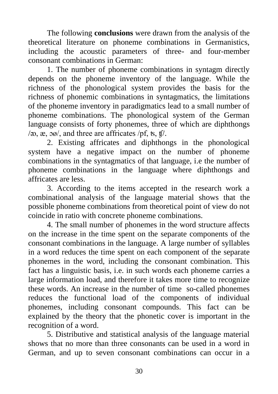The following **conclusions** were drawn from the analysis of the theoretical literature on phoneme combinations in Germanistics, including the acoustic parameters of three- and four-member consonant combinations in German:

1. The number of phoneme combinations in syntagm directly depends on the phoneme inventory of the language. While the richness of the phonological system provides the basis for the richness of phonemic combinations in syntagmatics, the limitations of the phoneme inventory in paradigmatics lead to a small number of phoneme combinations. The phonological system of the German language consists of forty phonemes, three of which are diphthongs  $/\infty$ ,  $\infty$ ,  $\infty$ , and three are affricates  $/\text{pf}$ , ts, tf.

2. Existing affricates and diphthongs in the phonological system have a negative impact on the number of phoneme combinations in the syntagmatics of that language, i.e the number of phoneme combinations in the language where diphthongs and affricates are less.

3. According to the items accepted in the research work a combinational analysis of the language material shows that the possible phoneme combinations from theoretical point of view do not coincide in ratio with concrete phoneme combinations.

4. The small number of phonemes in the word structure affects on the increase in the time spent on the separate components of the consonant combinations in the language. A large number of syllables in a word reduces the time spent on each component of the separate phonemes in the word, including the consonant combination. This fact has a linguistic basis, i.e. in such words each phoneme carries a large information load, and therefore it takes more time to recognize these words. An increase in the number of time so-called phonemes reduces the functional load of the components of individual phonemes, including consonant compounds. This fact can be explained by the theory that the phonetic cover is important in the recognition of a word.

5. Distributive and statistical analysis of the language material shows that no more than three consonants can be used in a word in German, and up to seven consonant combinations can occur in a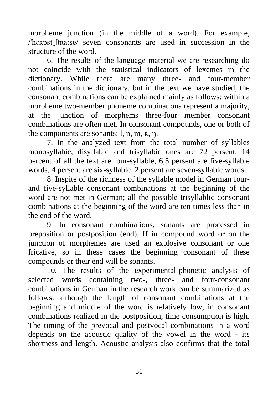morpheme junction (in the middle of a word). For example, /'herpst ftra:se/ seven consonants are used in succession in the structure of the word.

6. The results of the language material we are researching do not coincide with the statistical indicators of lexemes in the dictionary. While there are many three- and four-member combinations in the dictionary, but in the text we have studied, the consonant combinations can be explained mainly as follows: within a morpheme two-member phoneme combinations represent a majority, at the junction of morphems three-four member consonant combinations are often met. In consonant compounds, one or both of the components are sonants: l, n, m, ʀ, ŋ.

7. In the analyzed text from the total number of syllables monosyllabic, disyllabic and trisyllabic ones are 72 persent, 14 percent of all the text are four-syllable, 6,5 persent are five-syllable words, 4 persent are six-syllable, 2 persent are seven-syllable words.

8. Inspite of the richness of the syllable model in German fourand five-syllable consonant combinations at the beginning of the word are not met in German; all the possible trisyllablic consonant combinations at the beginning of the word are ten times less than in the end of the word.

9. In consonant combinations, sonants are processed in preposition or postposition (end). If in compound word or on the junction of morphemes are used an explosive consonant or one fricative, so in these cases the beginning consonant of these compounds or their end will be sonants.

10. The results of the experimental-phonetic analysis of selected words containing two-, three- and four-consonant combinations in German in the research work can be summarized as follows: although the length of consonant combinations at the beginning and middle of the word is relatively low, in consonant combinations realized in the postposition, time consumption is high. The timing of the prevocal and postvocal combinations in a word depends on the acoustic quality of the vowel in the word - its shortness and length. Acoustic analysis also confirms that the total

31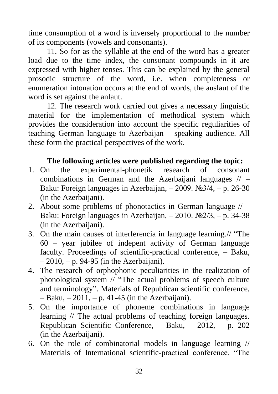time consumption of a word is inversely proportional to the number of its components (vowels and consonants).

11. So for as the syllable at the end of the word has a greater load due to the time index, the consonant compounds in it are expressed with higher tenses. This can be explained by the general prosodic structure of the word, i.e. when completeness or enumeration intonation occurs at the end of words, the auslaut of the word is set against the anlaut.

12. The research work carried out gives a necessary linguistic material for the implementation of methodical system which provides the consideration into account the specific reguliarities of teaching German language to Azerbaijan – speaking audience. All these form the practical perspectives of the work.

## **The following articles were published regarding the topic:**

- 1. On the experimental-phonetik research of consonant combinations in German and the Azerbaijani languages  $// -$ Baku: Foreign languages in Azerbaijan,  $-2009$ . №3/4,  $- p$ . 26-30 (in the Azerbaijani).
- 2. About some problems of phonotactics in German language  $// -$ Baku: Foreign languages in Azerbaijan,  $-2010$ .  $\mathbb{N}^2/3$ ,  $-$  p. 34-38 (in the Azerbaijani).
- 3. On the main causes of interferencia in language learning.// "The 60 – year jubilee of indepent activity of German language faculty. Proceedings of scientific-practical conference, – Baku,  $-2010$ ,  $- p. 94-95$  (in the Azerbaijani).
- 4. The research of orphophonic peculiarities in the realization of phonological system // "The actual problems of speech culture and terminology". Materials of Republican scientific conference,  $-$  Baku,  $-$  2011,  $-$  p. 41-45 (in the Azerbaijani).
- 5. On the importance of phoneme combinations in language learning // The actual problems of teaching foreign languages. Republican Scientific Conference, – Baku, – 2012, – p. 202 (in the Azerbaijani).
- 6. On the role of combinatorial models in language learning // Materials of International scientific-practical conference. "The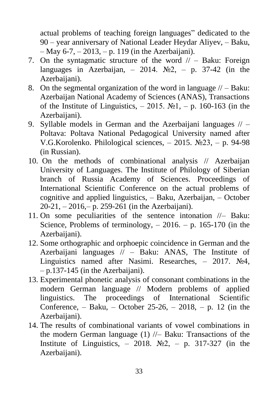actual problems of teaching foreign languages" dedicated to the 90 – year anniversary of National Leader Heydar Aliyev, – Baku, – May 6-7, – 2013, – p. 119 (in the Azerbaijani).

- 7. On the syntagmatic structure of the word  $//-$  Baku: Foreign languages in Azerbaijan,  $-2014$ . No  $2$ ,  $-$  p. 37-42 (in the Azerbaijani).
- 8. On the segmental organization of the word in language  $//$  Baku: Azerbaijan National Academy of Sciences (ANAS), Transactions of the Institute of Linguistics,  $-2015$ . N<sup>o</sup><sub>1</sub>,  $-$  p. 160-163 (in the Azerbaijani).
- 9. Syllable models in German and the Azerbaijani languages // Poltava: Poltava National Pedagogical University named after V.G.Korolenko. Philological sciences, – 2015. №23, – p. 94-98 (in Russian).
- 10. On the methods of combinational analysis // Azerbaijan University of Languages. The Institute of Philology of Siberian branch of Russia Academy of Sciences. Proceedings of International Scientific Conference on the actual problems of cognitive and applied linguistics, – Baku, Azerbaijan, – October  $20-21$ ,  $-2016$ ,  $- p. 259-261$  (in the Azerbaijani).
- 11. On some peculiarities of the sentence intonation //– Baku: Science, Problems of terminology,  $-2016$ .  $- p$ . 165-170 (in the Azerbaijani).
- 12. Some orthographic and orphoepic coincidence in German and the Azerbaijani languages // – Baku: ANAS, The Institute of Linguistics named after Nasimi. Researches, – 2017. №4, – p.137-145 (in the Azerbaijani).
- 13. Experimental phonetic analysis of consonant combinations in the modern German language // Modern problems of applied linguistics. The proceedings of International Scientific Conference,  $-$  Baku,  $-$  October 25-26,  $-$  2018,  $-$  p. 12 (in the Azerbaijani).
- 14. The results of combinational variants of vowel combinations in the modern German language (1) //– Baku: Transactions of the Institute of Linguistics,  $-2018$ . No  $2$ ,  $- p$ . 317-327 (in the Azerbaijani).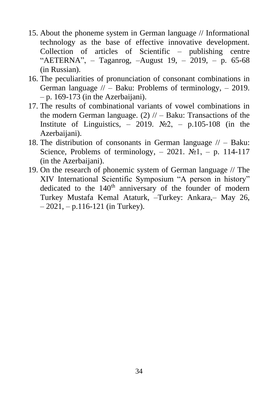- 15. About the phoneme system in German language // Informational technology as the base of effective innovative development. Collection of articles of Scientific – publishing centre "AETERNA", – Taganrog, –August 19, – 2019, – p. 65-68 (in Russian).
- 16. The peculiarities of pronunciation of consonant combinations in German language  $//-$  Baku: Problems of terminology,  $-2019$ .  $-$  p. 169-173 (in the Azerbaijani).
- 17. The results of combinational variants of vowel combinations in the modern German language. (2)  $//$  – Baku: Transactions of the Institute of Linguistics,  $-2019$ . No  $2$ ,  $- p.105$ -108 (in the Azerbaijani).
- 18. The distribution of consonants in German language  $\mathcal{U}$  Baku: Science, Problems of terminology,  $-2021$ . No<sub>1</sub>,  $-$  p. 114-117 (in the Azerbaijani).
- 19. On the research of phonemic system of German language // The XIV International Scientific Symposium "A person in history" dedicated to the  $140<sup>th</sup>$  anniversary of the founder of modern Turkey Mustafa Kemal Ataturk, –Turkey: Ankara,– May 26,  $-2021$ ,  $- p.116-121$  (in Turkey).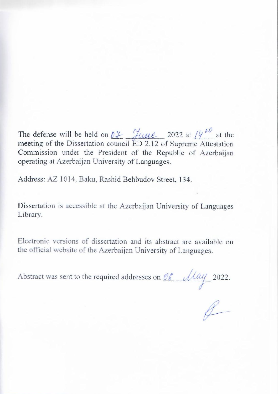The defense will be held on  $\ell^2$   $\frac{\partial^2 u}{\partial x^2}$  2022 at  $\ell^2$  at the meeting of the Dissertation council ED 2.12 of Supreme Attestation Commission under the President of the Republic of Azerbaijan operating at Azerbaijan University of Languages.

Address: AZ 1014, Baku, Rashid Behbudov Street, 134.

Dissertation is accessible at the Azerbaijan University of Languages Library.

Electronic versions of dissertation and its abstract are available on the official website of the Azerbaijan University of Languages.

Abstract was sent to the required addresses on  $\mathcal{Q}_{\epsilon}$   $\mathcal{U}$   $\mathcal{U}$  2022.